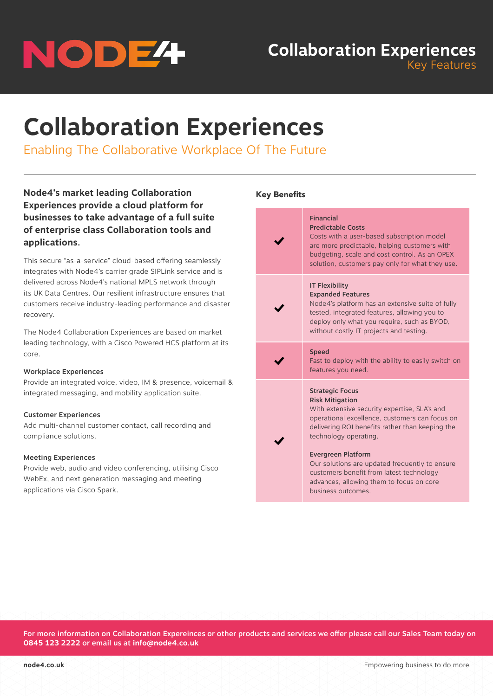# NODE<sup>4</sup>

# **Collaboration Experiences** Key Features

**Collaboration Experiences**

Enabling The Collaborative Workplace Of The Future

**Node4's market leading Collaboration Experiences provide a cloud platform for businesses to take advantage of a full suite of enterprise class Collaboration tools and applications.**

This secure "as-a-service" cloud-based offering seamlessly integrates with Node4's carrier grade SIPLink service and is delivered across Node4's national MPLS network through its UK Data Centres. Our resilient infrastructure ensures that customers receive industry-leading performance and disaster recovery.

The Node4 Collaboration Experiences are based on market leading technology, with a Cisco Powered HCS platform at its core.

### Workplace Experiences

Provide an integrated voice, video, IM & presence, voicemail & integrated messaging, and mobility application suite.

## Customer Experiences

Add multi-channel customer contact, call recording and compliance solutions.

### Meeting Experiences

Provide web, audio and video conferencing, utilising Cisco WebEx, and next generation messaging and meeting applications via Cisco Spark.

### Key Benefits

| <b>Financial</b><br><b>Predictable Costs</b><br>Costs with a user-based subscription model<br>are more predictable, helping customers with<br>budgeting, scale and cost control. As an OPEX<br>solution, customers pay only for what they use.                                                                                                                                                                              |
|-----------------------------------------------------------------------------------------------------------------------------------------------------------------------------------------------------------------------------------------------------------------------------------------------------------------------------------------------------------------------------------------------------------------------------|
| <b>IT Flexibility</b><br><b>Expanded Features</b><br>Node4's platform has an extensive suite of fully<br>tested, integrated features, allowing you to<br>deploy only what you require, such as BYOD,<br>without costly IT projects and testing.                                                                                                                                                                             |
| <b>Speed</b><br>Fast to deploy with the ability to easily switch on<br>features you need.                                                                                                                                                                                                                                                                                                                                   |
| <b>Strategic Focus</b><br><b>Risk Mitigation</b><br>With extensive security expertise, SLA's and<br>operational excellence, customers can focus on<br>delivering ROI benefits rather than keeping the<br>technology operating.<br><b>Evergreen Platform</b><br>Our solutions are updated frequently to ensure<br>customers benefit from latest technology<br>advances, allowing them to focus on core<br>business outcomes. |

For more information on Collaboration Expereinces or other products and services we offer please call our Sales Team today on **0845 123 2222** or email us at **info@node4.co.uk**